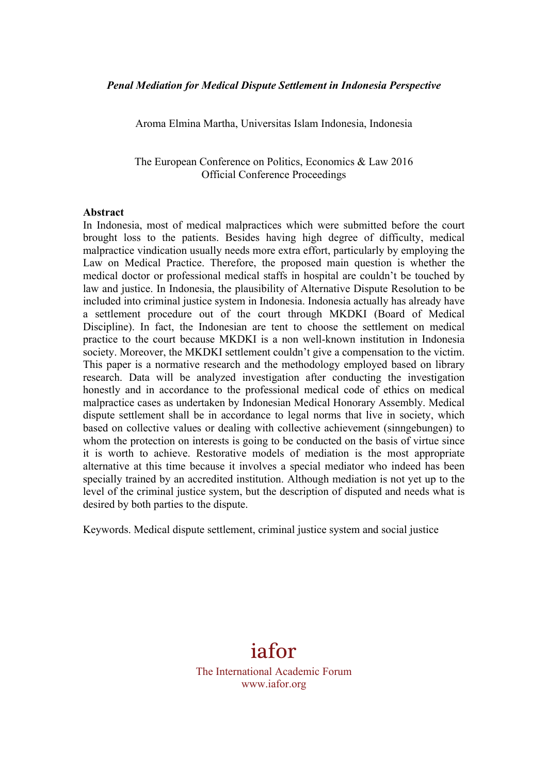Aroma Elmina Martha, Universitas Islam Indonesia, Indonesia

The European Conference on Politics, Economics & Law 2016 Official Conference Proceedings

#### **Abstract**

In Indonesia, most of medical malpractices which were submitted before the court brought loss to the patients. Besides having high degree of difficulty, medical malpractice vindication usually needs more extra effort, particularly by employing the Law on Medical Practice. Therefore, the proposed main question is whether the medical doctor or professional medical staffs in hospital are couldn't be touched by law and justice. In Indonesia, the plausibility of Alternative Dispute Resolution to be included into criminal justice system in Indonesia. Indonesia actually has already have a settlement procedure out of the court through MKDKI (Board of Medical Discipline). In fact, the Indonesian are tent to choose the settlement on medical practice to the court because MKDKI is a non well-known institution in Indonesia society. Moreover, the MKDKI settlement couldn't give a compensation to the victim. This paper is a normative research and the methodology employed based on library research. Data will be analyzed investigation after conducting the investigation honestly and in accordance to the professional medical code of ethics on medical malpractice cases as undertaken by Indonesian Medical Honorary Assembly. Medical dispute settlement shall be in accordance to legal norms that live in society, which based on collective values or dealing with collective achievement (sinngebungen) to whom the protection on interests is going to be conducted on the basis of virtue since it is worth to achieve. Restorative models of mediation is the most appropriate alternative at this time because it involves a special mediator who indeed has been specially trained by an accredited institution. Although mediation is not yet up to the level of the criminal justice system, but the description of disputed and needs what is desired by both parties to the dispute.

Keywords. Medical dispute settlement, criminal justice system and social justice



The International Academic Forum www.iafor.org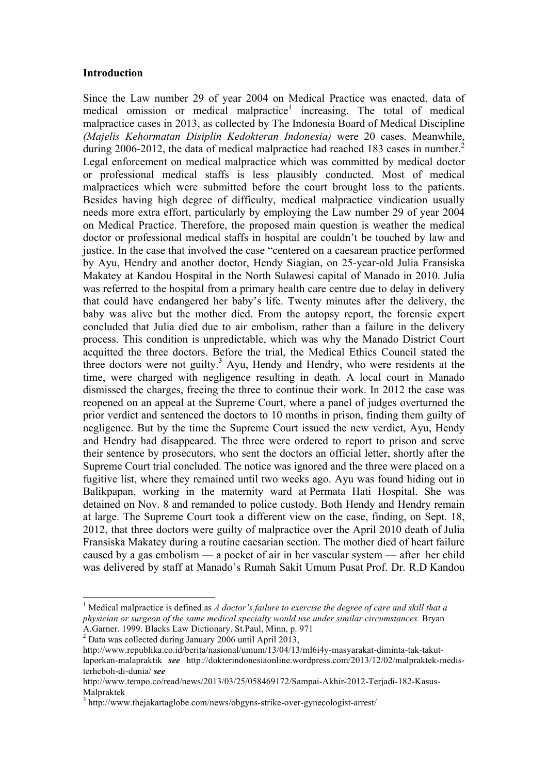### **Introduction**

Since the Law number 29 of year 2004 on Medical Practice was enacted, data of medical omission or medical malpractice<sup>1</sup> increasing. The total of medical malpractice cases in 2013, as collected by The Indonesia Board of Medical Discipline *(Majelis Kehormatan Disiplin Kedokteran Indonesia)* were 20 cases. Meanwhile, during 2006-2012, the data of medical malpractice had reached 183 cases in number.<sup>2</sup> Legal enforcement on medical malpractice which was committed by medical doctor or professional medical staffs is less plausibly conducted. Most of medical malpractices which were submitted before the court brought loss to the patients. Besides having high degree of difficulty, medical malpractice vindication usually needs more extra effort, particularly by employing the Law number 29 of year 2004 on Medical Practice. Therefore, the proposed main question is weather the medical doctor or professional medical staffs in hospital are couldn't be touched by law and justice. In the case that involved the case "centered on a caesarean practice performed by Ayu, Hendry and another doctor, Hendy Siagian, on 25-year-old Julia Fransiska Makatey at Kandou Hospital in the North Sulawesi capital of Manado in 2010. Julia was referred to the hospital from a primary health care centre due to delay in delivery that could have endangered her baby's life. Twenty minutes after the delivery, the baby was alive but the mother died. From the autopsy report, the forensic expert concluded that Julia died due to air embolism, rather than a failure in the delivery process. This condition is unpredictable, which was why the Manado District Court acquitted the three doctors. Before the trial, the Medical Ethics Council stated the three doctors were not guilty.<sup>3</sup> Ayu, Hendy and Hendry, who were residents at the time, were charged with negligence resulting in death. A local court in Manado dismissed the charges, freeing the three to continue their work. In 2012 the case was reopened on an appeal at the Supreme Court, where a panel of judges overturned the prior verdict and sentenced the doctors to 10 months in prison, finding them guilty of negligence. But by the time the Supreme Court issued the new verdict, Ayu, Hendy and Hendry had disappeared. The three were ordered to report to prison and serve their sentence by prosecutors, who sent the doctors an official letter, shortly after the Supreme Court trial concluded. The notice was ignored and the three were placed on a fugitive list, where they remained until two weeks ago. Ayu was found hiding out in Balikpapan, working in the maternity ward at Permata Hati Hospital. She was detained on Nov. 8 and remanded to police custody. Both Hendy and Hendry remain at large. The Supreme Court took a different view on the case, finding, on Sept. 18, 2012, that three doctors were guilty of malpractice over the April 2010 death of Julia Fransiska Makatey during a routine caesarian section. The mother died of heart failure caused by a gas embolism — a pocket of air in her vascular system — after her child was delivered by staff at Manado's Rumah Sakit Umum Pusat Prof. Dr. R.D Kandou

<sup>&</sup>lt;sup>1</sup> Medical malpractice is defined as *A doctor's failure to exercise the degree of care and skill that a physician or surgeon of the same medical specialty would use under similar circumstances.* Bryan

A.Garner. 1999. Blacks Law Dictionary. St.Paul, Minn, p. 971 <sup>2</sup> Data was collected during January 2006 until April 2013,

http://www.republika.co.id/berita/nasional/umum/13/04/13/ml6i4y-masyarakat-diminta-tak-takutlaporkan-malapraktik *see* http://dokterindonesiaonline.wordpress.com/2013/12/02/malpraktek-medisterheboh-di-dunia/ *see*

http://www.tempo.co/read/news/2013/03/25/058469172/Sampai-Akhir-2012-Terjadi-182-Kasus-Malpraktek

<sup>3</sup> http://www.thejakartaglobe.com/news/obgyns-strike-over-gynecologist-arrest/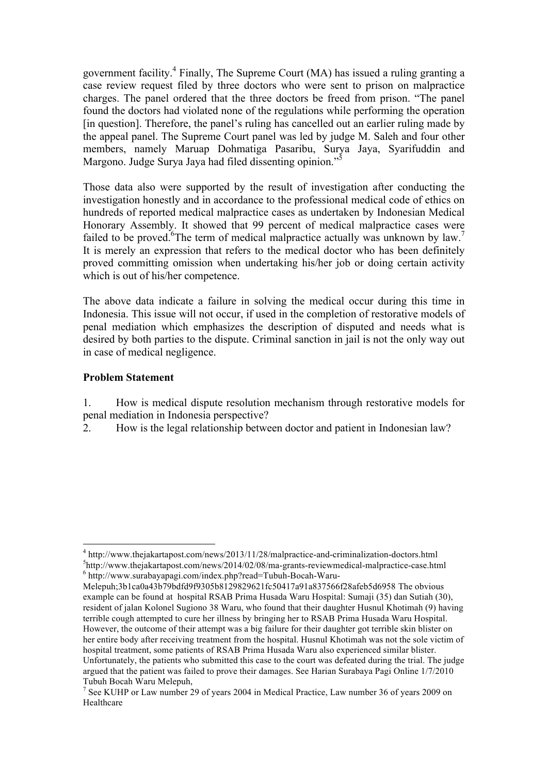government facility.4 Finally, The Supreme Court (MA) has issued a ruling granting a case review request filed by three doctors who were sent to prison on malpractice charges. The panel ordered that the three doctors be freed from prison. "The panel found the doctors had violated none of the regulations while performing the operation [in question]. Therefore, the panel's ruling has cancelled out an earlier ruling made by the appeal panel. The Supreme Court panel was led by judge M. Saleh and four other members, namely Maruap Dohmatiga Pasaribu, Surya Jaya, Syarifuddin and Margono. Judge Surya Jaya had filed dissenting opinion."<sup>5</sup>

Those data also were supported by the result of investigation after conducting the investigation honestly and in accordance to the professional medical code of ethics on hundreds of reported medical malpractice cases as undertaken by Indonesian Medical Honorary Assembly. It showed that 99 percent of medical malpractice cases were failed to be proved. <sup>6</sup>The term of medical malpractice actually was unknown by law.<sup>7</sup> It is merely an expression that refers to the medical doctor who has been definitely proved committing omission when undertaking his/her job or doing certain activity which is out of his/her competence.

The above data indicate a failure in solving the medical occur during this time in Indonesia. This issue will not occur, if used in the completion of restorative models of penal mediation which emphasizes the description of disputed and needs what is desired by both parties to the dispute. Criminal sanction in jail is not the only way out in case of medical negligence.

## **Problem Statement**

1. How is medical dispute resolution mechanism through restorative models for penal mediation in Indonesia perspective?

2. How is the legal relationship between doctor and patient in Indonesian law?

<sup>4</sup> http://www.thejakartapost.com/news/2013/11/28/malpractice-and-criminalization-doctors.html <sup>5</sup>  $h_{\text{http://www.thejakartapost.com/news/2014/02/08/ma-grants-review medical-malpractice-case.html}$ <br>
6 http://www.surabayapagi.com/index.php?read=Tubuh-Bocah-Waru-

Melepuh;3b1ca0a43b79bdfd9f9305b8129829621fc50417a91a837566f28afeb5d6958 The obvious example can be found at hospital RSAB Prima Husada Waru Hospital: Sumaji (35) dan Sutiah (30), resident of jalan Kolonel Sugiono 38 Waru, who found that their daughter Husnul Khotimah (9) having terrible cough attempted to cure her illness by bringing her to RSAB Prima Husada Waru Hospital. However, the outcome of their attempt was a big failure for their daughter got terrible skin blister on her entire body after receiving treatment from the hospital. Husnul Khotimah was not the sole victim of hospital treatment, some patients of RSAB Prima Husada Waru also experienced similar blister. Unfortunately, the patients who submitted this case to the court was defeated during the trial. The judge argued that the patient was failed to prove their damages. See Harian Surabaya Pagi Online 1/7/2010 Tubuh Bocah Waru Melepuh,

<sup>&</sup>lt;sup>7</sup> See KUHP or Law number 29 of years 2004 in Medical Practice, Law number 36 of years 2009 on Healthcare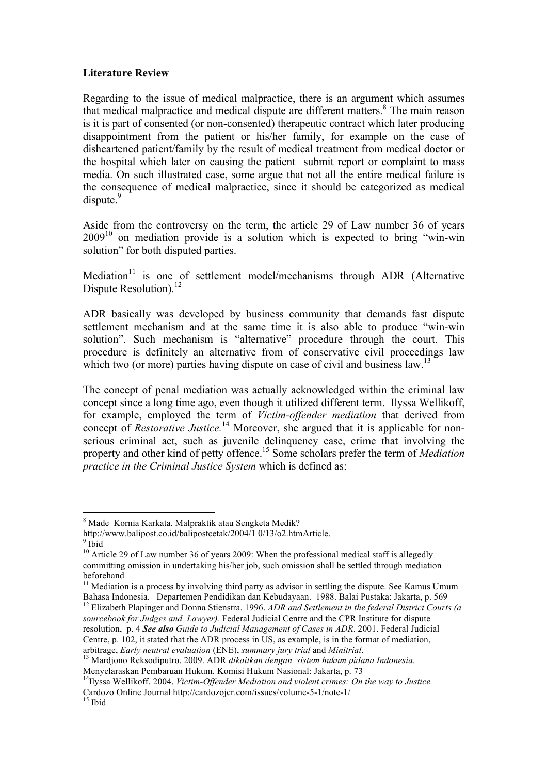## **Literature Review**

Regarding to the issue of medical malpractice, there is an argument which assumes that medical malpractice and medical dispute are different matters.<sup>8</sup> The main reason is it is part of consented (or non-consented) therapeutic contract which later producing disappointment from the patient or his/her family, for example on the case of disheartened patient/family by the result of medical treatment from medical doctor or the hospital which later on causing the patient submit report or complaint to mass media. On such illustrated case, some argue that not all the entire medical failure is the consequence of medical malpractice, since it should be categorized as medical  $dispute.<sup>9</sup>$ 

Aside from the controversy on the term, the article 29 of Law number 36 of years  $2009<sup>10</sup>$  on mediation provide is a solution which is expected to bring "win-win" solution" for both disputed parties.

Mediation<sup>11</sup> is one of settlement model/mechanisms through ADR (Alternative Dispute Resolution).<sup>12</sup>

ADR basically was developed by business community that demands fast dispute settlement mechanism and at the same time it is also able to produce "win-win solution". Such mechanism is "alternative" procedure through the court. This procedure is definitely an alternative from of conservative civil proceedings law which two (or more) parties having dispute on case of civil and business law.<sup>13</sup>

The concept of penal mediation was actually acknowledged within the criminal law concept since a long time ago, even though it utilized different term. Ilyssa Wellikoff, for example, employed the term of *Victim-offender mediation* that derived from concept of *Restorative Justice.*<sup>14</sup> Moreover, she argued that it is applicable for nonserious criminal act, such as juvenile delinquency case, crime that involving the property and other kind of petty offence.15 Some scholars prefer the term of *Mediation practice in the Criminal Justice System* which is defined as:

 $11$  Mediation is a process by involving third party as advisor in settling the dispute. See Kamus Umum Bahasa Indonesia. Departemen Pendidikan dan Kebudayaan. 1988. Balai Pustaka: Jakarta, p. 569 <sup>12</sup> Elizabeth Plapinger and Donna Stienstra. 1996. *ADR and Settlement in the federal District Courts (a sourcebook for Judges and Lawyer).* Federal Judicial Centre and the CPR Institute for dispute resolution, p. 4 *See also Guide to Judicial Management of Cases in ADR*. 2001. Federal Judicial Centre, p. 102, it stated that the ADR process in US, as example, is in the format of mediation,

 <sup>8</sup> Made Kornia Karkata. Malpraktik atau Sengketa Medik?

http://www.balipost.co.id/balipostcetak/2004/1 0/13/o2.htmArticle. 9 Ibid

 $10$  Article 29 of Law number 36 of years 2009: When the professional medical staff is allegedly committing omission in undertaking his/her job, such omission shall be settled through mediation beforehand

arbitrage, *Early neutral evaluation* (ENE), *summary jury trial* and *Minitrial*. <sup>13</sup> Mardjono Reksodiputro. 2009. ADR *dikaitkan dengan sistem hukum pidana Indonesia.*

<sup>&</sup>lt;sup>14</sup>Ilyssa Wellikoff. 2004. *Victim-Offender Mediation and violent crimes: On the way to Justice.* Cardozo Online Journal http://cardozojcr.com/issues/volume-5-1/note-1/ <sup>15</sup> Ibid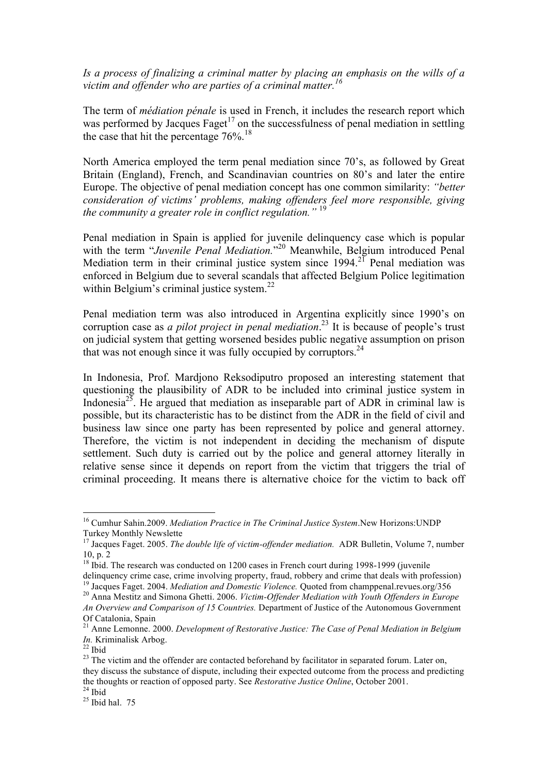*Is a process of finalizing a criminal matter by placing an emphasis on the wills of a victim and offender who are parties of a criminal matter.<sup>16</sup>*

The term of *médiation pénale* is used in French, it includes the research report which was performed by Jacques Faget<sup>17</sup> on the successfulness of penal mediation in settling the case that hit the percentage  $76\%$ .<sup>18</sup>

North America employed the term penal mediation since 70's, as followed by Great Britain (England), French, and Scandinavian countries on 80's and later the entire Europe. The objective of penal mediation concept has one common similarity: *"better consideration of victims' problems, making offenders feel more responsible, giving the community a greater role in conflict regulation."* <sup>19</sup>

Penal mediation in Spain is applied for juvenile delinquency case which is popular with the term "Juvenile Penal Mediation."<sup>20</sup> Meanwhile, Belgium introduced Penal Mediation term in their criminal justice system since  $1994.^{21}$  Penal mediation was enforced in Belgium due to several scandals that affected Belgium Police legitimation within Belgium's criminal justice system. $^{22}$ 

Penal mediation term was also introduced in Argentina explicitly since 1990's on corruption case as *a pilot project in penal mediation*. <sup>23</sup> It is because of people's trust on judicial system that getting worsened besides public negative assumption on prison that was not enough since it was fully occupied by corruptors. 24

In Indonesia, Prof. Mardjono Reksodiputro proposed an interesting statement that questioning the plausibility of ADR to be included into criminal justice system in Indonesia<sup>25</sup>. He argued that mediation as inseparable part of ADR in criminal law is possible, but its characteristic has to be distinct from the ADR in the field of civil and business law since one party has been represented by police and general attorney. Therefore, the victim is not independent in deciding the mechanism of dispute settlement. Such duty is carried out by the police and general attorney literally in relative sense since it depends on report from the victim that triggers the trial of criminal proceeding. It means there is alternative choice for the victim to back off

 <sup>16</sup> Cumhur Sahin.2009. *Mediation Practice in The Criminal Justice System*.New Horizons:UNDP Turkey Monthly Newslette

<sup>&</sup>lt;sup>17</sup> Jacques Faget. 2005. *The double life of victim-offender mediation*. ADR Bulletin, Volume 7, number 10, p. 2

<sup>&</sup>lt;sup>18</sup> Ibid. The research was conducted on 1200 cases in French court during 1998-1999 (juvenile

delinquency crime case, crime involving property, fraud, robbery and crime that deals with profession) <sup>19</sup> Jacques Faget. 2004. *Mediation and Domestic Violence*. Quoted from champpenal.revues.org/356<sup>20</sup> Anna Mestitz and Simona Ghetti. 2006. *Victim-Offender Mediation with Youth Offenders in Europe* 

*An Overview and Comparison of 15 Countries.* Department of Justice of the Autonomous Government Of Catalonia, Spain

<sup>&</sup>lt;sup>21</sup> Anne Lemonne. 2000. *Development of Restorative Justice: The Case of Penal Mediation in Belgium In. Kriminalisk Arbog.* 

<sup>&</sup>lt;sup>22</sup> Ibid<br><sup>23</sup> The victim and the offender are contacted beforehand by facilitator in separated forum. Later on, they discuss the substance of dispute, including their expected outcome from the process and predicting the thoughts or reaction of opposed party. See *Restorative Justice Online*, October 2001.<br><sup>24</sup> Ibid hal. 75<br><sup>25</sup> Ibid hal. 75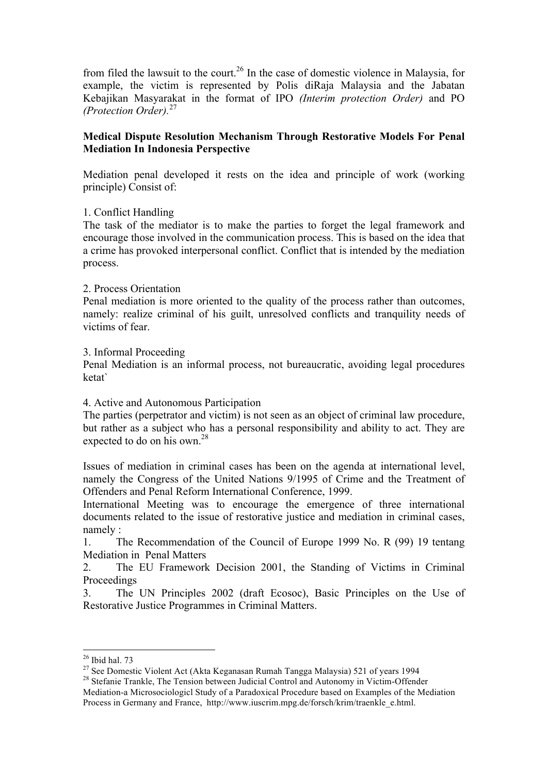from filed the lawsuit to the court.<sup>26</sup> In the case of domestic violence in Malaysia, for example, the victim is represented by Polis diRaja Malaysia and the Jabatan Kebajikan Masyarakat in the format of IPO *(Interim protection Order)* and PO *(Protection Order).*<sup>27</sup>

# **Medical Dispute Resolution Mechanism Through Restorative Models For Penal Mediation In Indonesia Perspective**

Mediation penal developed it rests on the idea and principle of work (working principle) Consist of:

# 1. Conflict Handling

The task of the mediator is to make the parties to forget the legal framework and encourage those involved in the communication process. This is based on the idea that a crime has provoked interpersonal conflict. Conflict that is intended by the mediation process.

## 2. Process Orientation

Penal mediation is more oriented to the quality of the process rather than outcomes, namely: realize criminal of his guilt, unresolved conflicts and tranquility needs of victims of fear.

### 3. Informal Proceeding

Penal Mediation is an informal process, not bureaucratic, avoiding legal procedures ketat`

## 4. Active and Autonomous Participation

The parties (perpetrator and victim) is not seen as an object of criminal law procedure, but rather as a subject who has a personal responsibility and ability to act. They are expected to do on his own.<sup>28</sup>

Issues of mediation in criminal cases has been on the agenda at international level, namely the Congress of the United Nations 9/1995 of Crime and the Treatment of Offenders and Penal Reform International Conference, 1999.

International Meeting was to encourage the emergence of three international documents related to the issue of restorative justice and mediation in criminal cases, namely :

1. The Recommendation of the Council of Europe 1999 No. R (99) 19 tentang Mediation in Penal Matters

2. The EU Framework Decision 2001, the Standing of Victims in Criminal Proceedings

3. The UN Principles 2002 (draft Ecosoc), Basic Principles on the Use of Restorative Justice Programmes in Criminal Matters.

<sup>&</sup>lt;sup>26</sup> Ibid hal. 73<br><sup>27</sup> See Domestic Violent Act (Akta Keganasan Rumah Tangga Malaysia) 521 of years 1994<br><sup>28</sup> Stefanie Trankle, The Tension between Judicial Control and Autonomy in Victim-Offender

Mediation-a Microsociologicl Study of a Paradoxical Procedure based on Examples of the Mediation Process in Germany and France, http://www.iuscrim.mpg.de/forsch/krim/traenkle\_e.html.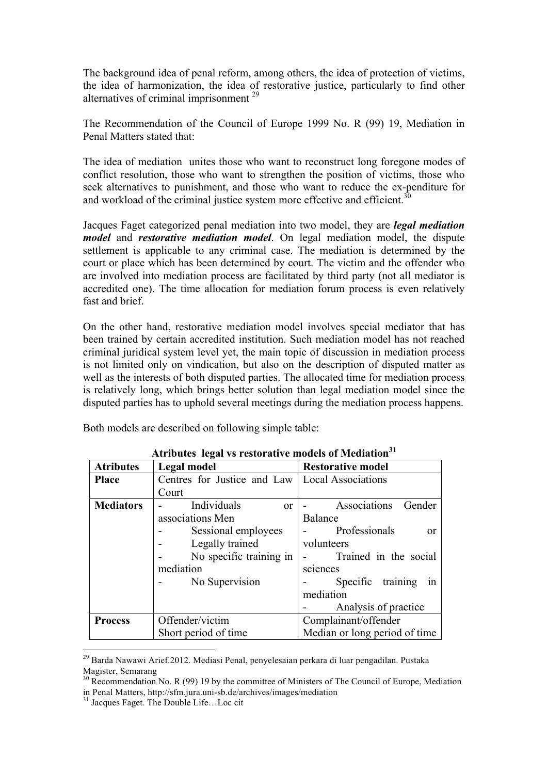The background idea of penal reform, among others, the idea of protection of victims, the idea of harmonization, the idea of restorative justice, particularly to find other alternatives of criminal imprisonment<sup>29</sup>

The Recommendation of the Council of Europe 1999 No. R (99) 19, Mediation in Penal Matters stated that:

The idea of mediation unites those who want to reconstruct long foregone modes of conflict resolution, those who want to strengthen the position of victims, those who seek alternatives to punishment, and those who want to reduce the ex-penditure for and workload of the criminal justice system more effective and efficient.<sup>30</sup>

Jacques Faget categorized penal mediation into two model, they are *legal mediation model* and *restorative mediation model*. On legal mediation model, the dispute settlement is applicable to any criminal case. The mediation is determined by the court or place which has been determined by court. The victim and the offender who are involved into mediation process are facilitated by third party (not all mediator is accredited one). The time allocation for mediation forum process is even relatively fast and brief.

On the other hand, restorative mediation model involves special mediator that has been trained by certain accredited institution. Such mediation model has not reached criminal juridical system level yet, the main topic of discussion in mediation process is not limited only on vindication, but also on the description of disputed matter as well as the interests of both disputed parties. The allocated time for mediation process is relatively long, which brings better solution than legal mediation model since the disputed parties has to uphold several meetings during the mediation process happens.

Both models are described on following simple table:

| Atributes regal vs restorative models of mediation |                                                  |                               |
|----------------------------------------------------|--------------------------------------------------|-------------------------------|
| <b>Atributes</b>                                   | Legal model                                      | <b>Restorative model</b>      |
| <b>Place</b>                                       | Centres for Justice and Law   Local Associations |                               |
|                                                    | Court                                            |                               |
| <b>Mediators</b>                                   | Individuals<br><sub>or</sub>                     | Associations<br>Gender        |
|                                                    | associations Men                                 | <b>Balance</b>                |
|                                                    | Sessional employees                              | Professionals<br>0r           |
|                                                    | Legally trained                                  | volunteers                    |
|                                                    | No specific training in                          | Trained in the social         |
|                                                    | mediation                                        | sciences                      |
|                                                    | No Supervision                                   | Specific training<br>1n       |
|                                                    |                                                  | mediation                     |
|                                                    |                                                  | Analysis of practice          |
| <b>Process</b>                                     | Offender/victim                                  | Complainant/offender          |
|                                                    | Short period of time                             | Median or long period of time |

**Atributes legal vs restorative models of Mediation<sup>31</sup>**

 <sup>29</sup> Barda Nawawi Arief.2012. Mediasi Penal, penyelesaian perkara di luar pengadilan. Pustaka Magister, Semarang

 $30$  Recommendation No. R (99) 19 by the committee of Ministers of The Council of Europe, Mediation in Penal Matters, http://sfm.jura.uni-sb.de/archives/images/mediation <sup>31</sup> Jacques Faget. The Double Life…Loc cit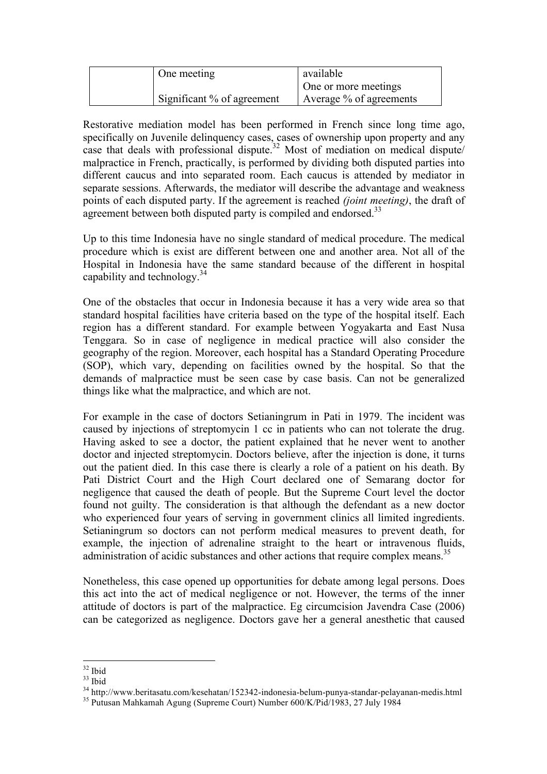| One meeting                  | available                  |
|------------------------------|----------------------------|
|                              | One or more meetings       |
| Significant $%$ of agreement | Average $\%$ of agreements |

Restorative mediation model has been performed in French since long time ago, specifically on Juvenile delinquency cases, cases of ownership upon property and any case that deals with professional dispute. <sup>32</sup> Most of mediation on medical dispute/ malpractice in French, practically, is performed by dividing both disputed parties into different caucus and into separated room. Each caucus is attended by mediator in separate sessions. Afterwards, the mediator will describe the advantage and weakness points of each disputed party. If the agreement is reached *(joint meeting)*, the draft of agreement between both disputed party is compiled and endorsed.<sup>33</sup>

Up to this time Indonesia have no single standard of medical procedure. The medical procedure which is exist are different between one and another area. Not all of the Hospital in Indonesia have the same standard because of the different in hospital capability and technology.<sup>34</sup>

One of the obstacles that occur in Indonesia because it has a very wide area so that standard hospital facilities have criteria based on the type of the hospital itself. Each region has a different standard. For example between Yogyakarta and East Nusa Tenggara. So in case of negligence in medical practice will also consider the geography of the region. Moreover, each hospital has a Standard Operating Procedure (SOP), which vary, depending on facilities owned by the hospital. So that the demands of malpractice must be seen case by case basis. Can not be generalized things like what the malpractice, and which are not.

For example in the case of doctors Setianingrum in Pati in 1979. The incident was caused by injections of streptomycin 1 cc in patients who can not tolerate the drug. Having asked to see a doctor, the patient explained that he never went to another doctor and injected streptomycin. Doctors believe, after the injection is done, it turns out the patient died. In this case there is clearly a role of a patient on his death. By Pati District Court and the High Court declared one of Semarang doctor for negligence that caused the death of people. But the Supreme Court level the doctor found not guilty. The consideration is that although the defendant as a new doctor who experienced four years of serving in government clinics all limited ingredients. Setianingrum so doctors can not perform medical measures to prevent death, for example, the injection of adrenaline straight to the heart or intravenous fluids, administration of acidic substances and other actions that require complex means.<sup>35</sup>

Nonetheless, this case opened up opportunities for debate among legal persons. Does this act into the act of medical negligence or not. However, the terms of the inner attitude of doctors is part of the malpractice. Eg circumcision Javendra Case (2006) can be categorized as negligence. Doctors gave her a general anesthetic that caused

<sup>&</sup>lt;sup>32</sup> Ibid<br><sup>33</sup> Ibid<br><sup>34</sup> http://www.beritasatu.com/kesehatan/152342-indonesia-belum-punya-standar-pelayanan-medis.html<br><sup>35</sup> Putusan Mahkamah Agung (Supreme Court) Number 600/K/Pid/1983, 27 July 1984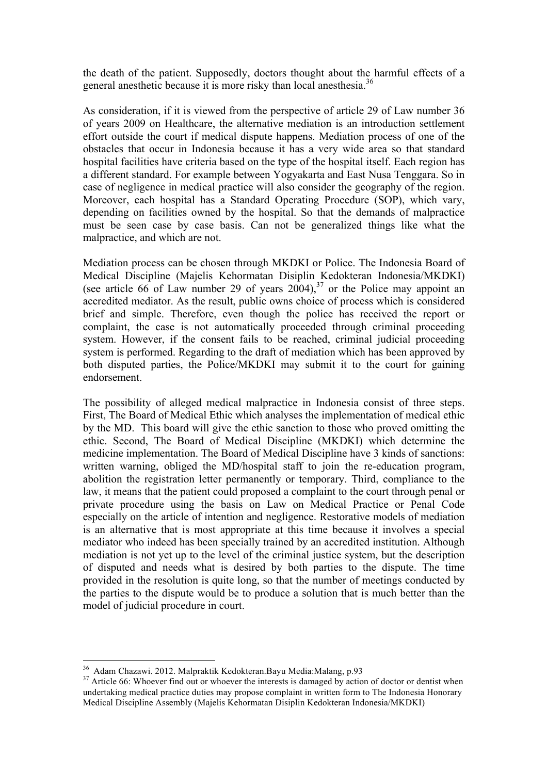the death of the patient. Supposedly, doctors thought about the harmful effects of a general anesthetic because it is more risky than local anesthesia.<sup>36</sup>

As consideration, if it is viewed from the perspective of article 29 of Law number 36 of years 2009 on Healthcare, the alternative mediation is an introduction settlement effort outside the court if medical dispute happens. Mediation process of one of the obstacles that occur in Indonesia because it has a very wide area so that standard hospital facilities have criteria based on the type of the hospital itself. Each region has a different standard. For example between Yogyakarta and East Nusa Tenggara. So in case of negligence in medical practice will also consider the geography of the region. Moreover, each hospital has a Standard Operating Procedure (SOP), which vary, depending on facilities owned by the hospital. So that the demands of malpractice must be seen case by case basis. Can not be generalized things like what the malpractice, and which are not.

Mediation process can be chosen through MKDKI or Police. The Indonesia Board of Medical Discipline (Majelis Kehormatan Disiplin Kedokteran Indonesia/MKDKI) (see article 66 of Law number 29 of years  $2004$ ), <sup>37</sup> or the Police may appoint an accredited mediator. As the result, public owns choice of process which is considered brief and simple. Therefore, even though the police has received the report or complaint, the case is not automatically proceeded through criminal proceeding system. However, if the consent fails to be reached, criminal judicial proceeding system is performed. Regarding to the draft of mediation which has been approved by both disputed parties, the Police/MKDKI may submit it to the court for gaining endorsement.

The possibility of alleged medical malpractice in Indonesia consist of three steps. First, The Board of Medical Ethic which analyses the implementation of medical ethic by the MD. This board will give the ethic sanction to those who proved omitting the ethic. Second, The Board of Medical Discipline (MKDKI) which determine the medicine implementation. The Board of Medical Discipline have 3 kinds of sanctions: written warning, obliged the MD/hospital staff to join the re-education program, abolition the registration letter permanently or temporary. Third, compliance to the law, it means that the patient could proposed a complaint to the court through penal or private procedure using the basis on Law on Medical Practice or Penal Code especially on the article of intention and negligence. Restorative models of mediation is an alternative that is most appropriate at this time because it involves a special mediator who indeed has been specially trained by an accredited institution. Although mediation is not yet up to the level of the criminal justice system, but the description of disputed and needs what is desired by both parties to the dispute. The time provided in the resolution is quite long, so that the number of meetings conducted by the parties to the dispute would be to produce a solution that is much better than the model of judicial procedure in court.

<sup>&</sup>lt;sup>36</sup> Adam Chazawi. 2012. Malpraktik Kedokteran.Bayu Media:Malang, p.93<br><sup>37</sup> Article 66: Whoever find out or whoever the interests is damaged by action of doctor or dentist when undertaking medical practice duties may propose complaint in written form to The Indonesia Honorary Medical Discipline Assembly (Majelis Kehormatan Disiplin Kedokteran Indonesia/MKDKI)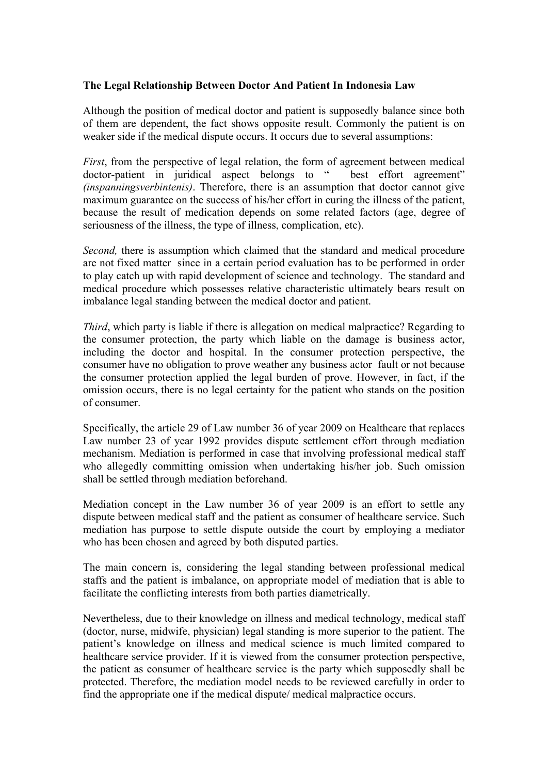## **The Legal Relationship Between Doctor And Patient In Indonesia Law**

Although the position of medical doctor and patient is supposedly balance since both of them are dependent, the fact shows opposite result. Commonly the patient is on weaker side if the medical dispute occurs. It occurs due to several assumptions:

*First*, from the perspective of legal relation, the form of agreement between medical doctor-patient in juridical aspect belongs to " best effort agreement" *(inspanningsverbintenis)*. Therefore, there is an assumption that doctor cannot give maximum guarantee on the success of his/her effort in curing the illness of the patient, because the result of medication depends on some related factors (age, degree of seriousness of the illness, the type of illness, complication, etc).

*Second,* there is assumption which claimed that the standard and medical procedure are not fixed matter since in a certain period evaluation has to be performed in order to play catch up with rapid development of science and technology. The standard and medical procedure which possesses relative characteristic ultimately bears result on imbalance legal standing between the medical doctor and patient.

*Third*, which party is liable if there is allegation on medical malpractice? Regarding to the consumer protection, the party which liable on the damage is business actor, including the doctor and hospital. In the consumer protection perspective, the consumer have no obligation to prove weather any business actor fault or not because the consumer protection applied the legal burden of prove. However, in fact, if the omission occurs, there is no legal certainty for the patient who stands on the position of consumer.

Specifically, the article 29 of Law number 36 of year 2009 on Healthcare that replaces Law number 23 of year 1992 provides dispute settlement effort through mediation mechanism. Mediation is performed in case that involving professional medical staff who allegedly committing omission when undertaking his/her job. Such omission shall be settled through mediation beforehand.

Mediation concept in the Law number 36 of year 2009 is an effort to settle any dispute between medical staff and the patient as consumer of healthcare service. Such mediation has purpose to settle dispute outside the court by employing a mediator who has been chosen and agreed by both disputed parties.

The main concern is, considering the legal standing between professional medical staffs and the patient is imbalance, on appropriate model of mediation that is able to facilitate the conflicting interests from both parties diametrically.

Nevertheless, due to their knowledge on illness and medical technology, medical staff (doctor, nurse, midwife, physician) legal standing is more superior to the patient. The patient's knowledge on illness and medical science is much limited compared to healthcare service provider. If it is viewed from the consumer protection perspective, the patient as consumer of healthcare service is the party which supposedly shall be protected. Therefore, the mediation model needs to be reviewed carefully in order to find the appropriate one if the medical dispute/ medical malpractice occurs.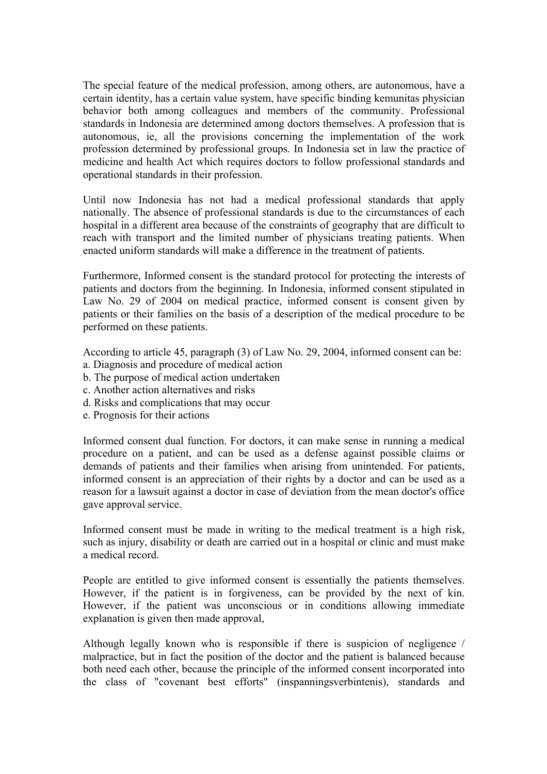The special feature of the medical profession, among others, are autonomous, have a certain identity, has a certain value system, have specific binding kemunitas physician behavior both among colleagues and members of the community. Professional standards in Indonesia are determined among doctors themselves. A profession that is autonomous, ie, all the provisions concerning the implementation of the work profession determined by professional groups. In Indonesia set in law the practice of medicine and health Act which requires doctors to follow professional standards and operational standards in their profession.

Until now Indonesia has not had a medical professional standards that apply nationally. The absence of professional standards is due to the circumstances of each hospital in a different area because of the constraints of geography that are difficult to reach with transport and the limited number of physicians treating patients. When enacted uniform standards will make a difference in the treatment of patients.

Furthermore, Informed consent is the standard protocol for protecting the interests of patients and doctors from the beginning. In Indonesia, informed consent stipulated in Law No. 29 of 2004 on medical practice, informed consent is consent given by patients or their families on the basis of a description of the medical procedure to be performed on these patients.

According to article 45, paragraph (3) of Law No. 29, 2004, informed consent can be:

- a. Diagnosis and procedure of medical action
- b. The purpose of medical action undertaken
- c. Another action alternatives and risks
- d. Risks and complications that may occur
- e. Prognosis for their actions

Informed consent dual function. For doctors, it can make sense in running a medical procedure on a patient, and can be used as a defense against possible claims or demands of patients and their families when arising from unintended. For patients, informed consent is an appreciation of their rights by a doctor and can be used as a reason for a lawsuit against a doctor in case of deviation from the mean doctor's office gave approval service.

Informed consent must be made in writing to the medical treatment is a high risk, such as injury, disability or death are carried out in a hospital or clinic and must make a medical record.

People are entitled to give informed consent is essentially the patients themselves. However, if the patient is in forgiveness, can be provided by the next of kin. However, if the patient was unconscious or in conditions allowing immediate explanation is given then made approval,

Although legally known who is responsible if there is suspicion of negligence / malpractice, but in fact the position of the doctor and the patient is balanced because both need each other, because the principle of the informed consent incorporated into the class of "covenant best efforts" (inspanningsverbintenis), standards and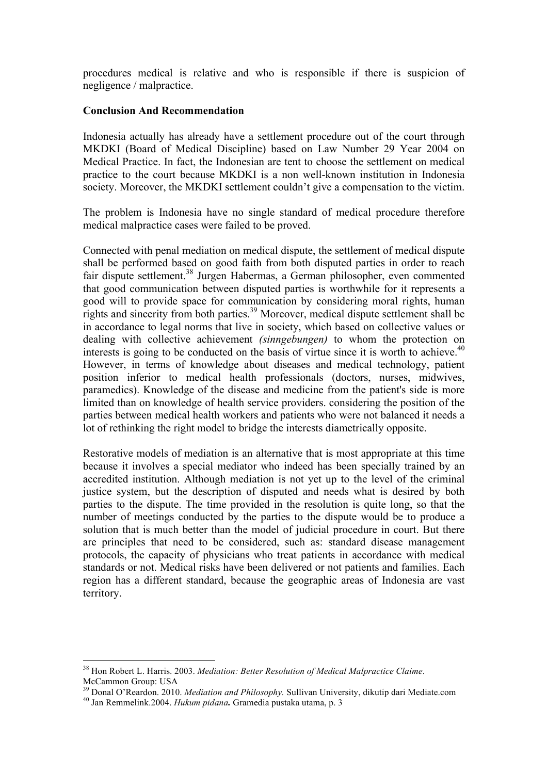procedures medical is relative and who is responsible if there is suspicion of negligence / malpractice.

## **Conclusion And Recommendation**

Indonesia actually has already have a settlement procedure out of the court through MKDKI (Board of Medical Discipline) based on Law Number 29 Year 2004 on Medical Practice. In fact, the Indonesian are tent to choose the settlement on medical practice to the court because MKDKI is a non well-known institution in Indonesia society. Moreover, the MKDKI settlement couldn't give a compensation to the victim.

The problem is Indonesia have no single standard of medical procedure therefore medical malpractice cases were failed to be proved.

Connected with penal mediation on medical dispute, the settlement of medical dispute shall be performed based on good faith from both disputed parties in order to reach fair dispute settlement.<sup>38</sup> Jurgen Habermas, a German philosopher, even commented that good communication between disputed parties is worthwhile for it represents a good will to provide space for communication by considering moral rights, human rights and sincerity from both parties.<sup>39</sup> Moreover, medical dispute settlement shall be in accordance to legal norms that live in society, which based on collective values or dealing with collective achievement *(sinngebungen)* to whom the protection on interests is going to be conducted on the basis of virtue since it is worth to achieve.<sup>40</sup> However, in terms of knowledge about diseases and medical technology, patient position inferior to medical health professionals (doctors, nurses, midwives, paramedics). Knowledge of the disease and medicine from the patient's side is more limited than on knowledge of health service providers. considering the position of the parties between medical health workers and patients who were not balanced it needs a lot of rethinking the right model to bridge the interests diametrically opposite.

Restorative models of mediation is an alternative that is most appropriate at this time because it involves a special mediator who indeed has been specially trained by an accredited institution. Although mediation is not yet up to the level of the criminal justice system, but the description of disputed and needs what is desired by both parties to the dispute. The time provided in the resolution is quite long, so that the number of meetings conducted by the parties to the dispute would be to produce a solution that is much better than the model of judicial procedure in court. But there are principles that need to be considered, such as: standard disease management protocols, the capacity of physicians who treat patients in accordance with medical standards or not. Medical risks have been delivered or not patients and families. Each region has a different standard, because the geographic areas of Indonesia are vast territory.

 <sup>38</sup> Hon Robert L. Harris. 2003. *Mediation: Better Resolution of Medical Malpractice Claime*. McCammon Group: USA

<sup>&</sup>lt;sup>39</sup> Donal O'Reardon. 2010. *Mediation and Philosophy*. Sullivan University, dikutip dari Mediate.com <sup>40</sup> Jan Remmelink.2004. *Hukum pidana*. Gramedia pustaka utama, p. 3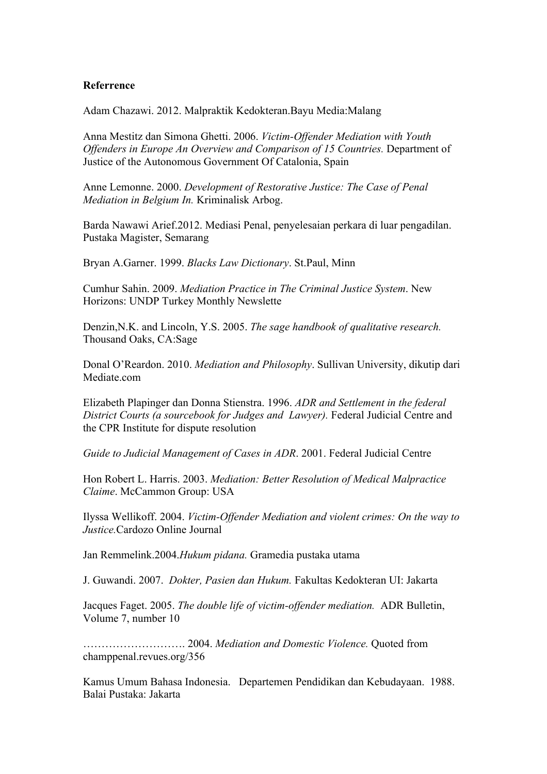### **Referrence**

Adam Chazawi. 2012. Malpraktik Kedokteran.Bayu Media:Malang

Anna Mestitz dan Simona Ghetti. 2006. *Victim-Offender Mediation with Youth Offenders in Europe An Overview and Comparison of 15 Countries.* Department of Justice of the Autonomous Government Of Catalonia, Spain

Anne Lemonne. 2000. *Development of Restorative Justice: The Case of Penal Mediation in Belgium In.* Kriminalisk Arbog.

Barda Nawawi Arief.2012. Mediasi Penal, penyelesaian perkara di luar pengadilan. Pustaka Magister, Semarang

Bryan A.Garner. 1999. *Blacks Law Dictionary*. St.Paul, Minn

Cumhur Sahin. 2009. *Mediation Practice in The Criminal Justice System*. New Horizons: UNDP Turkey Monthly Newslette

Denzin,N.K. and Lincoln, Y.S. 2005. *The sage handbook of qualitative research.* Thousand Oaks, CA:Sage

Donal O'Reardon. 2010. *Mediation and Philosophy*. Sullivan University, dikutip dari Mediate.com

Elizabeth Plapinger dan Donna Stienstra. 1996. *ADR and Settlement in the federal District Courts (a sourcebook for Judges and Lawyer).* Federal Judicial Centre and the CPR Institute for dispute resolution

*Guide to Judicial Management of Cases in ADR*. 2001. Federal Judicial Centre

Hon Robert L. Harris. 2003. *Mediation: Better Resolution of Medical Malpractice Claime*. McCammon Group: USA

Ilyssa Wellikoff. 2004. *Victim-Offender Mediation and violent crimes: On the way to Justice.*Cardozo Online Journal

Jan Remmelink.2004.*Hukum pidana.* Gramedia pustaka utama

J. Guwandi. 2007. *Dokter, Pasien dan Hukum.* Fakultas Kedokteran UI: Jakarta

Jacques Faget. 2005. *The double life of victim-offender mediation.* ADR Bulletin, Volume 7, number 10

………………………. 2004. *Mediation and Domestic Violence.* Quoted from champpenal.revues.org/356

Kamus Umum Bahasa Indonesia. Departemen Pendidikan dan Kebudayaan. 1988. Balai Pustaka: Jakarta